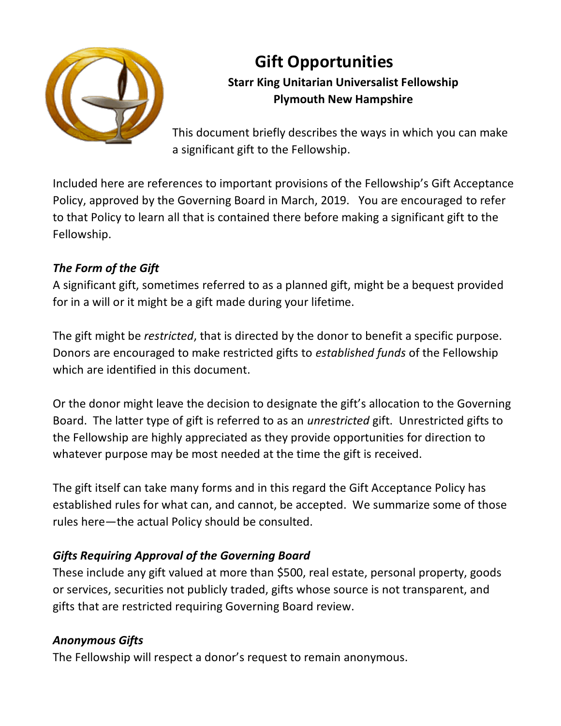

# **Gift Opportunities Starr King Unitarian Universalist Fellowship Plymouth New Hampshire**

This document briefly describes the ways in which you can make a significant gift to the Fellowship.

Included here are references to important provisions of the Fellowship's Gift Acceptance Policy, approved by the Governing Board in March, 2019. You are encouraged to refer to that Policy to learn all that is contained there before making a significant gift to the Fellowship.

# *The Form of the Gift*

A significant gift, sometimes referred to as a planned gift, might be a bequest provided for in a will or it might be a gift made during your lifetime.

The gift might be *restricted*, that is directed by the donor to benefit a specific purpose. Donors are encouraged to make restricted gifts to *established funds* of the Fellowship which are identified in this document.

Or the donor might leave the decision to designate the gift's allocation to the Governing Board. The latter type of gift is referred to as an *unrestricted* gift. Unrestricted gifts to the Fellowship are highly appreciated as they provide opportunities for direction to whatever purpose may be most needed at the time the gift is received.

The gift itself can take many forms and in this regard the Gift Acceptance Policy has established rules for what can, and cannot, be accepted. We summarize some of those rules here—the actual Policy should be consulted.

# *Gifts Requiring Approval of the Governing Board*

These include any gift valued at more than \$500, real estate, personal property, goods or services, securities not publicly traded, gifts whose source is not transparent, and gifts that are restricted requiring Governing Board review.

# *Anonymous Gifts*

The Fellowship will respect a donor's request to remain anonymous.